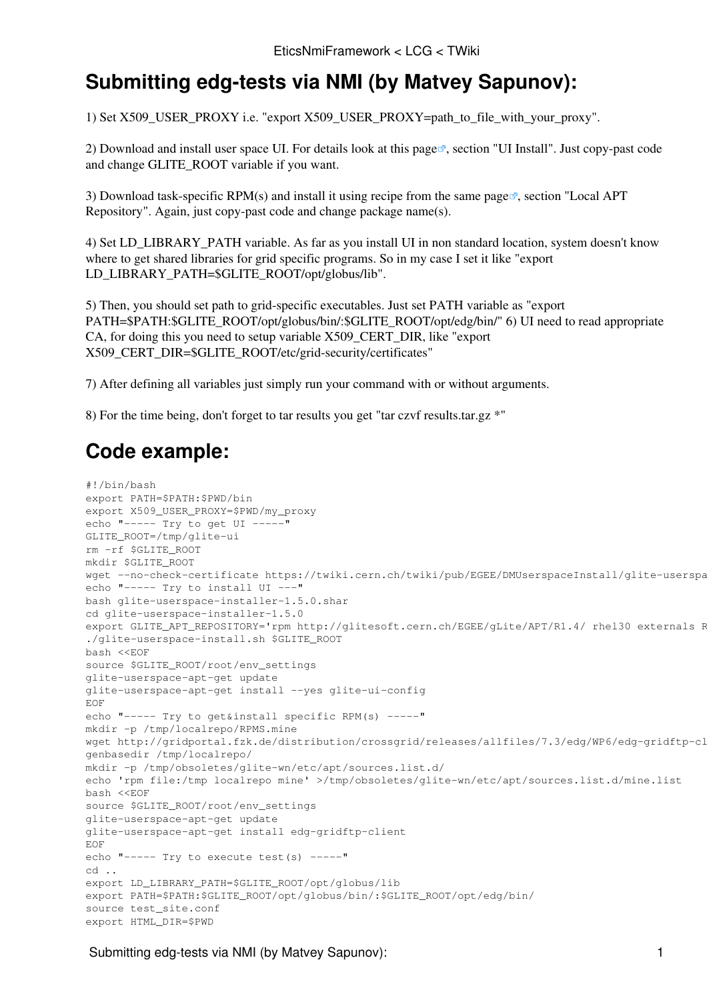## **Submitting edg-tests via NMI (by Matvey Sapunov):**

1) Set X509\_USER\_PROXY i.e. "export X509\_USER\_PROXY=path\_to\_file\_with\_your\_proxy".

2) Download and install user space UI. For details look at [this page](https://uimon.cern.ch/twiki/bin/view/EGEE/DMUserspaceInstall) , section "UI Install". Just copy-past code and change GLITE\_ROOT variable if you want.

3) Download task-specific RPM(s) and install it using recipe from the [same page](https://uimon.cern.ch/twiki/bin/view/EGEE/DMUserspaceInstall)  $\mathbb{F}$ , section "Local APT Repository". Again, just copy-past code and change package name(s).

4) Set LD\_LIBRARY\_PATH variable. As far as you install UI in non standard location, system doesn't know where to get shared libraries for grid specific programs. So in my case I set it like "export LD\_LIBRARY\_PATH=\$GLITE\_ROOT/opt/globus/lib".

5) Then, you should set path to grid-specific executables. Just set PATH variable as "export PATH=\$PATH:\$GLITE\_ROOT/opt/globus/bin/:\$GLITE\_ROOT/opt/edg/bin/" 6) UI need to read appropriate CA, for doing this you need to setup variable X509\_CERT\_DIR, like "export X509\_CERT\_DIR=\$GLITE\_ROOT/etc/grid-security/certificates"

7) After defining all variables just simply run your command with or without arguments.

8) For the time being, don't forget to tar results you get "tar czvf results.tar.gz \*"

## **Code example:**

```
#!/bin/bash
export PATH=$PATH:$PWD/bin
export X509_USER_PROXY=$PWD/my_proxy
echo "----- Try to get UI -----"
GLITE_ROOT=/tmp/glite-ui
rm -rf $GLITE_ROOT
mkdir $GLITE_ROOT
wget --no-check-certificate https://twiki.cern.ch/twiki/pub/EGEE/DMUserspaceInstall/glite-userspa
echo "----- Try to install UI ---"
bash glite-userspace-installer-1.5.0.shar
cd glite-userspace-installer-1.5.0
export GLITE_APT_REPOSITORY='rpm http://glitesoft.cern.ch/EGEE/gLite/APT/R1.4/ rhel30 externals R
./glite-userspace-install.sh $GLITE_ROOT
bash <<EOF
source $GLITE_ROOT/root/env_settings
glite-userspace-apt-get update
glite-userspace-apt-get install --yes glite-ui-config
EOF
echo "----- Try to get&install specific RPM(s) -----"
mkdir -p /tmp/localrepo/RPMS.mine
wget http://gridportal.fzk.de/distribution/crossgrid/releases/allfiles/7.3/edg/WP6/edg-gridftp-cl
genbasedir /tmp/localrepo/
mkdir -p /tmp/obsoletes/glite-wn/etc/apt/sources.list.d/
echo 'rpm file:/tmp localrepo mine' >/tmp/obsoletes/glite-wn/etc/apt/sources.list.d/mine.list
bash <<EOF
source $GLITE_ROOT/root/env_settings
glite-userspace-apt-get update
glite-userspace-apt-get install edg-gridftp-client
EOF
echo "----- Try to execute test(s) -----"
cd ...
export LD_LIBRARY_PATH=$GLITE_ROOT/opt/globus/lib
export PATH=$PATH:$GLITE_ROOT/opt/globus/bin/:$GLITE_ROOT/opt/edg/bin/
source test_site.conf
export HTML_DIR=$PWD
```
Submitting edg-tests via NMI (by Matvey Sapunov): 1